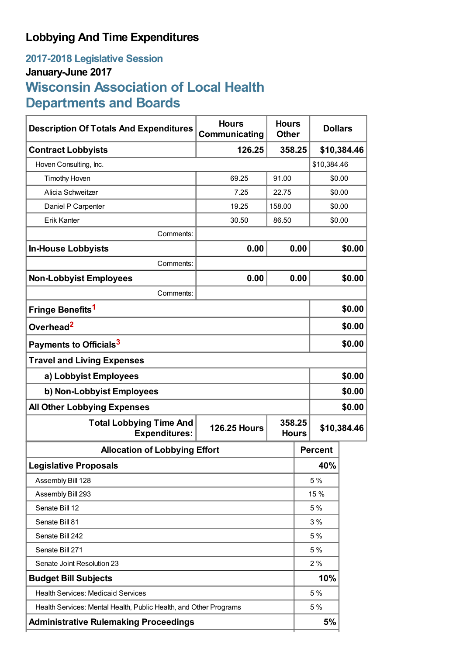# **Lobbying And Time Expenditures**

# **2017-2018 Legislative Session January-June 2017 Wisconsin Association of Local Health Departments and Boards**

| <b>Description Of Totals And Expenditures</b>                     | <b>Hours</b><br>Communicating | <b>Hours</b><br><b>Other</b> |        | <b>Dollars</b> |        |
|-------------------------------------------------------------------|-------------------------------|------------------------------|--------|----------------|--------|
| <b>Contract Lobbyists</b>                                         | 126.25                        | 358.25                       |        | \$10,384.46    |        |
| Hoven Consulting, Inc.                                            |                               |                              |        | \$10,384.46    |        |
| <b>Timothy Hoven</b>                                              | 69.25                         | 91.00                        |        | \$0.00         |        |
| Alicia Schweitzer                                                 | 7.25                          | 22.75                        |        | \$0.00         |        |
| Daniel P Carpenter                                                | 19.25                         | 158.00                       |        | \$0.00         |        |
| <b>Erik Kanter</b>                                                | 30.50                         | 86.50                        | \$0.00 |                |        |
| Comments:                                                         |                               |                              |        |                |        |
| <b>In-House Lobbyists</b>                                         | 0.00                          |                              | 0.00   |                | \$0.00 |
| Comments:                                                         |                               |                              |        |                |        |
| <b>Non-Lobbyist Employees</b>                                     | 0.00                          |                              | 0.00   |                | \$0.00 |
| Comments:                                                         |                               |                              |        |                |        |
| Fringe Benefits <sup>1</sup>                                      |                               |                              |        |                | \$0.00 |
| Overhead <sup>2</sup>                                             |                               |                              |        | \$0.00         |        |
| Payments to Officials <sup>3</sup>                                |                               |                              |        | \$0.00         |        |
| <b>Travel and Living Expenses</b>                                 |                               |                              |        |                |        |
| a) Lobbyist Employees                                             |                               |                              |        | \$0.00         |        |
| b) Non-Lobbyist Employees                                         |                               |                              |        | \$0.00         |        |
| <b>All Other Lobbying Expenses</b>                                |                               |                              |        |                | \$0.00 |
| <b>Total Lobbying Time And</b><br><b>Expenditures:</b>            | <b>126.25 Hours</b>           | 358.25<br><b>Hours</b>       |        | \$10,384.46    |        |
| <b>Allocation of Lobbying Effort</b>                              |                               |                              |        | <b>Percent</b> |        |
| <b>Legislative Proposals</b>                                      |                               |                              |        | 40%            |        |
| Assembly Bill 128                                                 |                               |                              |        | 5 %            |        |
| Assembly Bill 293                                                 |                               |                              |        | 15 %           |        |
| Senate Bill 12                                                    |                               |                              | 5 %    |                |        |
| Senate Bill 81                                                    |                               |                              |        | 3%             |        |
| Senate Bill 242                                                   |                               |                              | 5 %    |                |        |
| Senate Bill 271                                                   |                               |                              |        | 5 %            |        |
| Senate Joint Resolution 23                                        |                               |                              |        | 2%             |        |
| <b>Budget Bill Subjects</b>                                       |                               |                              |        | 10%            |        |
| <b>Health Services: Medicaid Services</b>                         |                               |                              |        | 5 %            |        |
| Health Services: Mental Health, Public Health, and Other Programs |                               |                              |        | 5%             |        |
| <b>Administrative Rulemaking Proceedings</b>                      |                               |                              |        | 5%             |        |